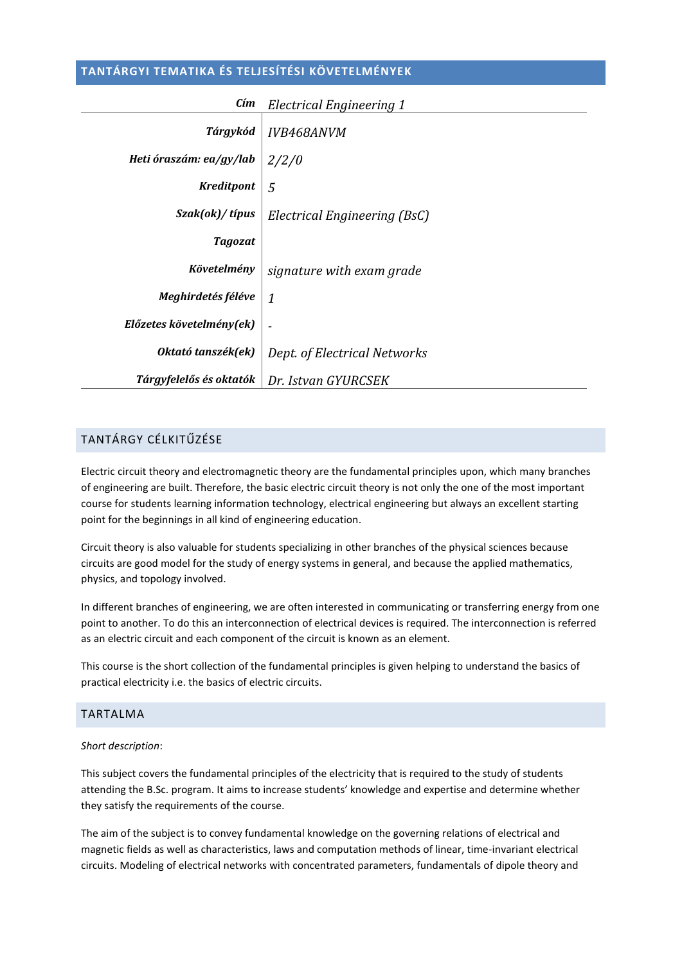# **TANTÁRGYI TEMATIKA ÉS TELJESÍTÉSI KÖVETELMÉNYEK**

| Cím                      | Electrical Engineering 1     |  |
|--------------------------|------------------------------|--|
| Tárgykód                 | IVB468ANVM                   |  |
| Heti óraszám: ea/gy/lab  | 2/2/0                        |  |
| <b>Kreditpont</b>        | 5                            |  |
| Szak(ok)/típus           | Electrical Engineering (BsC) |  |
| Tagozat                  |                              |  |
| Követelmény              | signature with exam grade    |  |
| Meghirdetés féléve       | 1                            |  |
| Előzetes követelmény(ek) |                              |  |
| Oktató tanszék(ek)       | Dept. of Electrical Networks |  |
| Tárgyfelelős és oktatók  | Dr. Istvan GYURCSEK          |  |

# TANTÁRGY CÉLKITŰZÉSE

Electric circuit theory and electromagnetic theory are the fundamental principles upon, which many branches of engineering are built. Therefore, the basic electric circuit theory is not only the one of the most important course for students learning information technology, electrical engineering but always an excellent starting point for the beginnings in all kind of engineering education.

Circuit theory is also valuable for students specializing in other branches of the physical sciences because circuits are good model for the study of energy systems in general, and because the applied mathematics, physics, and topology involved.

In different branches of engineering, we are often interested in communicating or transferring energy from one point to another. To do this an interconnection of electrical devices is required. The interconnection is referred as an electric circuit and each component of the circuit is known as an element.

This course is the short collection of the fundamental principles is given helping to understand the basics of practical electricity i.e. the basics of electric circuits.

## TARTALMA

#### *Short description*:

This subject covers the fundamental principles of the electricity that is required to the study of students attending the B.Sc. program. It aims to increase students' knowledge and expertise and determine whether they satisfy the requirements of the course.

The aim of the subject is to convey fundamental knowledge on the governing relations of electrical and magnetic fields as well as characteristics, laws and computation methods of linear, time-invariant electrical circuits. Modeling of electrical networks with concentrated parameters, fundamentals of dipole theory and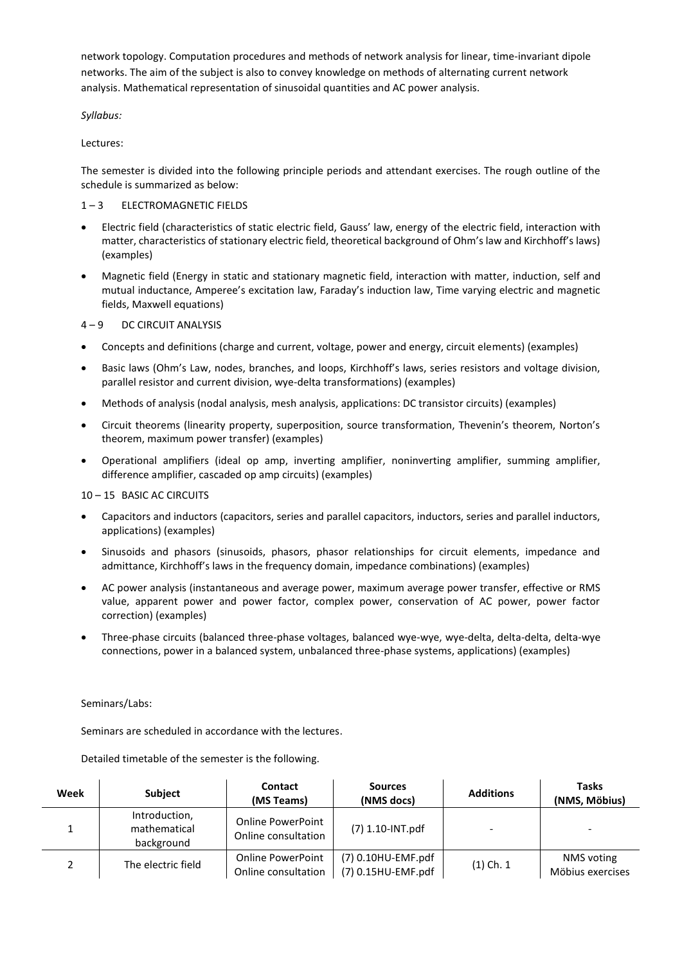network topology. Computation procedures and methods of network analysis for linear, time-invariant dipole networks. The aim of the subject is also to convey knowledge on methods of alternating current network analysis. Mathematical representation of sinusoidal quantities and AC power analysis.

*Syllabus:*

Lectures:

The semester is divided into the following principle periods and attendant exercises. The rough outline of the schedule is summarized as below:

## 1 – 3 ELECTROMAGNETIC FIELDS

- Electric field (characteristics of static electric field, Gauss' law, energy of the electric field, interaction with matter, characteristics of stationary electric field, theoretical background of Ohm's law and Kirchhoff's laws) (examples)
- Magnetic field (Energy in static and stationary magnetic field, interaction with matter, induction, self and mutual inductance, Amperee's excitation law, Faraday's induction law, Time varying electric and magnetic fields, Maxwell equations)

### 4 – 9 DC CIRCUIT ANALYSIS

- Concepts and definitions (charge and current, voltage, power and energy, circuit elements) (examples)
- Basic laws (Ohm's Law, nodes, branches, and loops, Kirchhoff's laws, series resistors and voltage division, parallel resistor and current division, wye-delta transformations) (examples)
- Methods of analysis (nodal analysis, mesh analysis, applications: DC transistor circuits) (examples)
- Circuit theorems (linearity property, superposition, source transformation, Thevenin's theorem, Norton's theorem, maximum power transfer) (examples)
- Operational amplifiers (ideal op amp, inverting amplifier, noninverting amplifier, summing amplifier, difference amplifier, cascaded op amp circuits) (examples)

#### 10 – 15 BASIC AC CIRCUITS

- Capacitors and inductors (capacitors, series and parallel capacitors, inductors, series and parallel inductors, applications) (examples)
- Sinusoids and phasors (sinusoids, phasors, phasor relationships for circuit elements, impedance and admittance, Kirchhoff's laws in the frequency domain, impedance combinations) (examples)
- AC power analysis (instantaneous and average power, maximum average power transfer, effective or RMS value, apparent power and power factor, complex power, conservation of AC power, power factor correction) (examples)
- Three-phase circuits (balanced three-phase voltages, balanced wye-wye, wye-delta, delta-delta, delta-wye connections, power in a balanced system, unbalanced three-phase systems, applications) (examples)

#### Seminars/Labs:

Seminars are scheduled in accordance with the lectures.

Detailed timetable of the semester is the following.

| Week | <b>Subject</b>                              | Contact<br>(MS Teams)                           | <b>Sources</b><br>(NMS docs)             | <b>Additions</b> | <b>Tasks</b><br>(NMS, Möbius)  |
|------|---------------------------------------------|-------------------------------------------------|------------------------------------------|------------------|--------------------------------|
|      | Introduction,<br>mathematical<br>background | <b>Online PowerPoint</b><br>Online consultation | (7) 1.10-INT.pdf                         |                  | -                              |
|      | The electric field                          | <b>Online PowerPoint</b><br>Online consultation | (7) 0.10HU-EMF.pdf<br>(7) 0.15HU-EMF.pdf | $(1)$ Ch. 1      | NMS voting<br>Möbius exercises |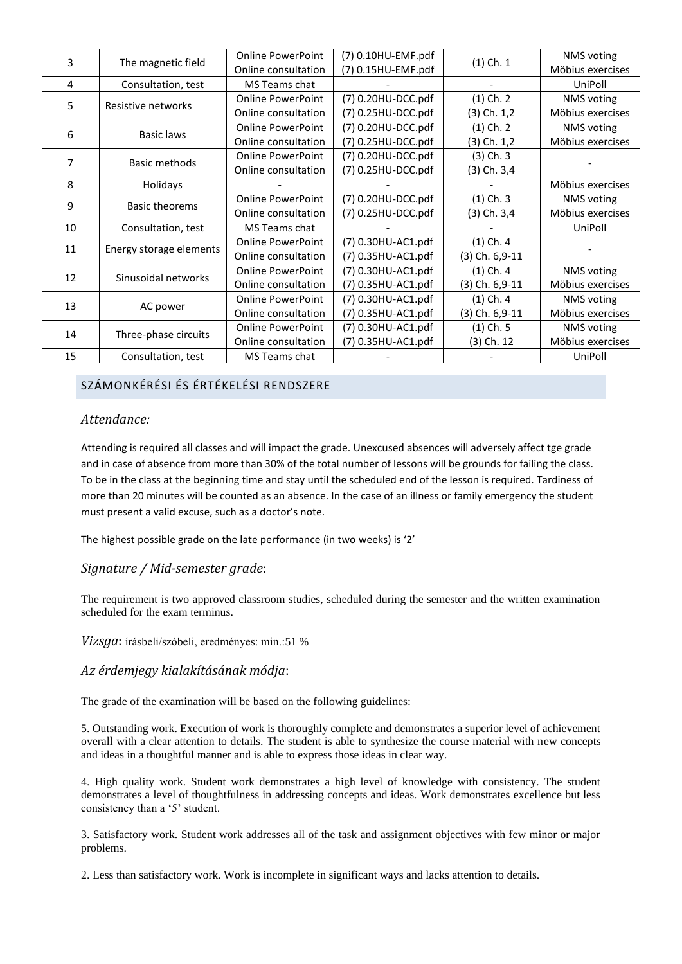| 3  | The magnetic field      | <b>Online PowerPoint</b> | (7) 0.10HU-EMF.pdf | $(1)$ Ch. 1     | NMS voting       |
|----|-------------------------|--------------------------|--------------------|-----------------|------------------|
|    |                         | Online consultation      | (7) 0.15HU-EMF.pdf |                 | Möbius exercises |
| 4  | Consultation, test      | MS Teams chat            |                    |                 | UniPoll          |
| 5. | Resistive networks      | <b>Online PowerPoint</b> | (7) 0.20HU-DCC.pdf | $(1)$ Ch. 2     | NMS voting       |
|    |                         | Online consultation      | (7) 0.25HU-DCC.pdf | (3) Ch. 1,2     | Möbius exercises |
| 6  | Basic laws              | <b>Online PowerPoint</b> | (7) 0.20HU-DCC.pdf | $(1)$ Ch. 2     | NMS voting       |
|    |                         | Online consultation      | (7) 0.25HU-DCC.pdf | $(3)$ Ch. $1,2$ | Möbius exercises |
| 7  | Basic methods           | <b>Online PowerPoint</b> | (7) 0.20HU-DCC.pdf | $(3)$ Ch. 3     |                  |
|    |                         | Online consultation      | (7) 0.25HU-DCC.pdf | (3) Ch. 3,4     |                  |
| 8  | Holidays                |                          |                    |                 | Möbius exercises |
| 9  | <b>Basic theorems</b>   | <b>Online PowerPoint</b> | (7) 0.20HU-DCC.pdf | $(1)$ Ch. 3     | NMS voting       |
|    |                         | Online consultation      | (7) 0.25HU-DCC.pdf | (3) Ch. 3,4     | Möbius exercises |
| 10 | Consultation, test      | MS Teams chat            |                    |                 | UniPoll          |
| 11 | Energy storage elements | <b>Online PowerPoint</b> | (7) 0.30HU-AC1.pdf | $(1)$ Ch. 4     |                  |
|    |                         | Online consultation      | (7) 0.35HU-AC1.pdf | (3) Ch. 6,9-11  |                  |
| 12 | Sinusoidal networks     | <b>Online PowerPoint</b> | (7) 0.30HU-AC1.pdf | $(1)$ Ch. 4     | NMS voting       |
|    |                         | Online consultation      | (7) 0.35HU-AC1.pdf | (3) Ch. 6,9-11  | Möbius exercises |
| 13 | AC power                | <b>Online PowerPoint</b> | (7) 0.30HU-AC1.pdf | $(1)$ Ch. 4     | NMS voting       |
|    |                         | Online consultation      | (7) 0.35HU-AC1.pdf | (3) Ch. 6,9-11  | Möbius exercises |
| 14 | Three-phase circuits    | <b>Online PowerPoint</b> | (7) 0.30HU-AC1.pdf | $(1)$ Ch. 5     | NMS voting       |
|    |                         | Online consultation      | (7) 0.35HU-AC1.pdf | (3) Ch. 12      | Möbius exercises |
| 15 | Consultation, test      | MS Teams chat            |                    |                 | UniPoll          |

# SZÁMONKÉRÉSI ÉS ÉRTÉKELÉSI RENDSZERE

# *Attendance:*

Attending is required all classes and will impact the grade. Unexcused absences will adversely affect tge grade and in case of absence from more than 30% of the total number of lessons will be grounds for failing the class. To be in the class at the beginning time and stay until the scheduled end of the lesson is required. Tardiness of more than 20 minutes will be counted as an absence. In the case of an illness or family emergency the student must present a valid excuse, such as a doctor's note.

The highest possible grade on the late performance (in two weeks) is '2'

## *Signature / Mid-semester grade*:

The requirement is two approved classroom studies, scheduled during the semester and the written examination scheduled for the exam terminus.

*Vizsga*: írásbeli/szóbeli, eredményes: min.:51 %

#### *Az érdemjegy kialakításának módja*:

The grade of the examination will be based on the following guidelines:

5. Outstanding work. Execution of work is thoroughly complete and demonstrates a superior level of achievement overall with a clear attention to details. The student is able to synthesize the course material with new concepts and ideas in a thoughtful manner and is able to express those ideas in clear way.

4. High quality work. Student work demonstrates a high level of knowledge with consistency. The student demonstrates a level of thoughtfulness in addressing concepts and ideas. Work demonstrates excellence but less consistency than a '5' student.

3. Satisfactory work. Student work addresses all of the task and assignment objectives with few minor or major problems.

2. Less than satisfactory work. Work is incomplete in significant ways and lacks attention to details.